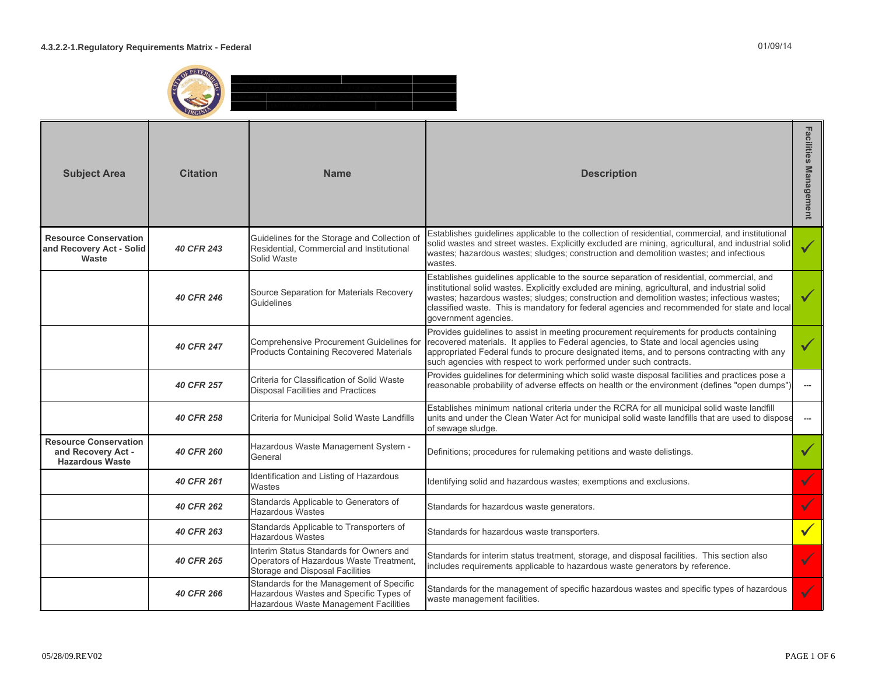

| <b>Subject Area</b>                                                          | <b>Citation</b>   | <b>Name</b>                                                                                                                 | <b>Description</b>                                                                                                                                                                                                                                                                                                                                                                                                | <b>Facilities Management</b> |
|------------------------------------------------------------------------------|-------------------|-----------------------------------------------------------------------------------------------------------------------------|-------------------------------------------------------------------------------------------------------------------------------------------------------------------------------------------------------------------------------------------------------------------------------------------------------------------------------------------------------------------------------------------------------------------|------------------------------|
| <b>Resource Conservation</b><br>and Recovery Act - Solid<br>Waste            | <b>40 CFR 243</b> | Guidelines for the Storage and Collection of<br>Residential, Commercial and Institutional<br>Solid Waste                    | Establishes guidelines applicable to the collection of residential, commercial, and institutional<br>solid wastes and street wastes. Explicitly excluded are mining, agricultural, and industrial solid<br>wastes; hazardous wastes; sludges; construction and demolition wastes; and infectious<br>wastes.                                                                                                       | $\checkmark$                 |
|                                                                              | <b>40 CFR 246</b> | Source Separation for Materials Recovery<br>Guidelines                                                                      | Establishes guidelines applicable to the source separation of residential, commercial, and<br>institutional solid wastes. Explicitly excluded are mining, agricultural, and industrial solid<br>wastes; hazardous wastes; sludges; construction and demolition wastes; infectious wastes;<br>classified waste. This is mandatory for federal agencies and recommended for state and local<br>government agencies. |                              |
|                                                                              | <b>40 CFR 247</b> | Comprehensive Procurement Guidelines for<br>Products Containing Recovered Materials                                         | Provides guidelines to assist in meeting procurement requirements for products containing<br>recovered materials. It applies to Federal agencies, to State and local agencies using<br>appropriated Federal funds to procure designated items, and to persons contracting with any<br>such agencies with respect to work performed under such contracts.                                                          |                              |
|                                                                              | <b>40 CFR 257</b> | Criteria for Classification of Solid Waste<br><b>Disposal Facilities and Practices</b>                                      | Provides guidelines for determining which solid waste disposal facilities and practices pose a<br>reasonable probability of adverse effects on health or the environment (defines "open dumps")                                                                                                                                                                                                                   | $\cdots$                     |
|                                                                              | 40 CFR 258        | Criteria for Municipal Solid Waste Landfills                                                                                | Establishes minimum national criteria under the RCRA for all municipal solid waste landfill<br>units and under the Clean Water Act for municipal solid waste landfills that are used to dispose<br>of sewage sludge.                                                                                                                                                                                              | $\hspace{0.05cm} \cdots$     |
| <b>Resource Conservation</b><br>and Recovery Act -<br><b>Hazardous Waste</b> | <b>40 CFR 260</b> | Hazardous Waste Management System -<br>General                                                                              | Definitions; procedures for rulemaking petitions and waste delistings.                                                                                                                                                                                                                                                                                                                                            |                              |
|                                                                              | 40 CFR 261        | Identification and Listing of Hazardous<br>Wastes                                                                           | Identifying solid and hazardous wastes; exemptions and exclusions.                                                                                                                                                                                                                                                                                                                                                |                              |
|                                                                              | 40 CFR 262        | Standards Applicable to Generators of<br><b>Hazardous Wastes</b>                                                            | Standards for hazardous waste generators.                                                                                                                                                                                                                                                                                                                                                                         |                              |
|                                                                              | 40 CFR 263        | Standards Applicable to Transporters of<br>Hazardous Wastes                                                                 | Standards for hazardous waste transporters.                                                                                                                                                                                                                                                                                                                                                                       | $\checkmark$                 |
|                                                                              | 40 CFR 265        | Interim Status Standards for Owners and<br>Operators of Hazardous Waste Treatment,<br>Storage and Disposal Facilities       | Standards for interim status treatment, storage, and disposal facilities. This section also<br>includes requirements applicable to hazardous waste generators by reference.                                                                                                                                                                                                                                       |                              |
|                                                                              | <b>40 CFR 266</b> | Standards for the Management of Specific<br>Hazardous Wastes and Specific Types of<br>Hazardous Waste Management Facilities | Standards for the management of specific hazardous wastes and specific types of hazardous<br>waste management facilities.                                                                                                                                                                                                                                                                                         |                              |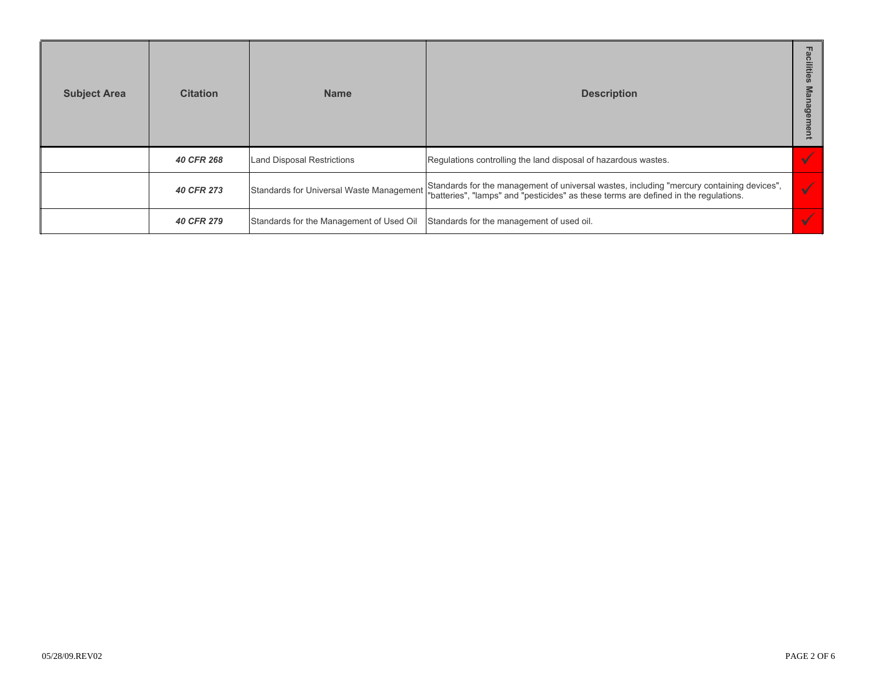| <b>Subject Area</b> | <b>Citation</b> | <b>Name</b>                              | <b>Description</b>                                                                                                                                                                |  |
|---------------------|-----------------|------------------------------------------|-----------------------------------------------------------------------------------------------------------------------------------------------------------------------------------|--|
|                     | 40 CFR 268      | Land Disposal Restrictions               | Regulations controlling the land disposal of hazardous wastes.                                                                                                                    |  |
|                     | 40 CFR 273      | Standards for Universal Waste Managemen  | Standards for the management of universal wastes, including "mercury containing devices",<br>"batteries", "lamps" and "pesticides" as these terms are defined in the regulations. |  |
|                     | 40 CFR 279      | Standards for the Management of Used Oil | Standards for the management of used oil.                                                                                                                                         |  |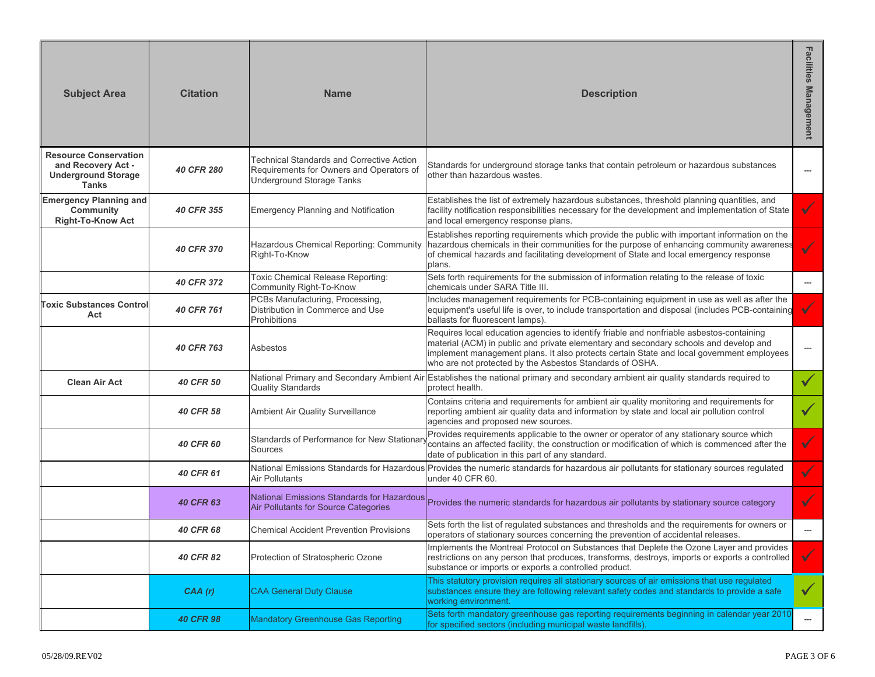| <b>Subject Area</b>                                                                       | <b>Citation</b>   | <b>Name</b>                                                                                                               | <b>Description</b>                                                                                                                                                                                                                                                                                                                         | <b>Facilities Management</b> |
|-------------------------------------------------------------------------------------------|-------------------|---------------------------------------------------------------------------------------------------------------------------|--------------------------------------------------------------------------------------------------------------------------------------------------------------------------------------------------------------------------------------------------------------------------------------------------------------------------------------------|------------------------------|
| <b>Resource Conservation</b><br>and Recovery Act -<br><b>Underground Storage</b><br>Tanks | <b>40 CFR 280</b> | Technical Standards and Corrective Action<br>Requirements for Owners and Operators of<br><b>Underground Storage Tanks</b> | Standards for underground storage tanks that contain petroleum or hazardous substances<br>other than hazardous wastes.                                                                                                                                                                                                                     | ---                          |
| <b>Emergency Planning and</b><br>Community<br><b>Right-To-Know Act</b>                    | 40 CFR 355        | <b>Emergency Planning and Notification</b>                                                                                | Establishes the list of extremely hazardous substances, threshold planning quantities, and<br>facility notification responsibilities necessary for the development and implementation of State<br>and local emergency response plans.                                                                                                      | $\checkmark$                 |
|                                                                                           | <b>40 CFR 370</b> | Hazardous Chemical Reporting: Community<br>Right-To-Know                                                                  | Establishes reporting requirements which provide the public with important information on the<br>hazardous chemicals in their communities for the purpose of enhancing community awareness<br>of chemical hazards and facilitating development of State and local emergency response<br>plans.                                             | $\checkmark$                 |
|                                                                                           | 40 CFR 372        | Toxic Chemical Release Reporting:<br>Community Right-To-Know                                                              | Sets forth requirements for the submission of information relating to the release of toxic<br>chemicals under SARA Title III.                                                                                                                                                                                                              | ---                          |
| <b>Toxic Substances Control</b><br>Act                                                    | 40 CFR 761        | PCBs Manufacturing, Processing,<br>Distribution in Commerce and Use<br>Prohibitions                                       | Includes management requirements for PCB-containing equipment in use as well as after the<br>equipment's useful life is over, to include transportation and disposal (includes PCB-containing<br>ballasts for fluorescent lamps).                                                                                                          | $\checkmark$                 |
|                                                                                           | 40 CFR 763        | Asbestos                                                                                                                  | Requires local education agencies to identify friable and nonfriable asbestos-containing<br>material (ACM) in public and private elementary and secondary schools and develop and<br>implement management plans. It also protects certain State and local government employees<br>who are not protected by the Asbestos Standards of OSHA. | ---                          |
| <b>Clean Air Act</b>                                                                      | <b>40 CFR 50</b>  | <b>Quality Standards</b>                                                                                                  | National Primary and Secondary Ambient Air Establishes the national primary and secondary ambient air quality standards required to<br>protect health.                                                                                                                                                                                     | $\checkmark$                 |
|                                                                                           | 40 CFR 58         | Ambient Air Quality Surveillance                                                                                          | Contains criteria and requirements for ambient air quality monitoring and requirements for<br>reporting ambient air quality data and information by state and local air pollution control<br>agencies and proposed new sources.                                                                                                            | $\checkmark$                 |
|                                                                                           | <b>40 CFR 60</b>  | Standards of Performance for New Stationa<br>Sources                                                                      | Provides requirements applicable to the owner or operator of any stationary source which<br>contains an affected facility, the construction or modification of which is commenced after the<br>date of publication in this part of any standard.                                                                                           | $\checkmark$                 |
|                                                                                           | 40 CFR 61         | <b>Air Pollutants</b>                                                                                                     | National Emissions Standards for Hazardous Provides the numeric standards for hazardous air pollutants for stationary sources regulated<br>under 40 CFR 60.                                                                                                                                                                                | $\checkmark$                 |
|                                                                                           | <b>40 CFR 63</b>  | National Emissions Standards for Hazardous<br><b>Air Pollutants for Source Categories</b>                                 | Provides the numeric standards for hazardous air pollutants by stationary source category                                                                                                                                                                                                                                                  | ✓                            |
|                                                                                           | 40 CFR 68         | <b>Chemical Accident Prevention Provisions</b>                                                                            | Sets forth the list of regulated substances and thresholds and the requirements for owners or<br>operators of stationary sources concerning the prevention of accidental releases.                                                                                                                                                         |                              |
|                                                                                           | 40 CFR 82         | Protection of Stratospheric Ozone                                                                                         | Implements the Montreal Protocol on Substances that Deplete the Ozone Layer and provides<br>restrictions on any person that produces, transforms, destroys, imports or exports a controlled<br>substance or imports or exports a controlled product.                                                                                       | $\checkmark$                 |
|                                                                                           | CAA(r)            | <b>CAA General Duty Clause</b>                                                                                            | This statutory provision requires all stationary sources of air emissions that use regulated<br>substances ensure they are following relevant safety codes and standards to provide a safe<br>working environment.                                                                                                                         | $\checkmark$                 |
|                                                                                           | <b>40 CFR 98</b>  | <b>Mandatory Greenhouse Gas Reporting</b>                                                                                 | Sets forth mandatory greenhouse gas reporting requirements beginning in calendar year 2010<br>for specified sectors (including municipal waste landfills).                                                                                                                                                                                 | ---                          |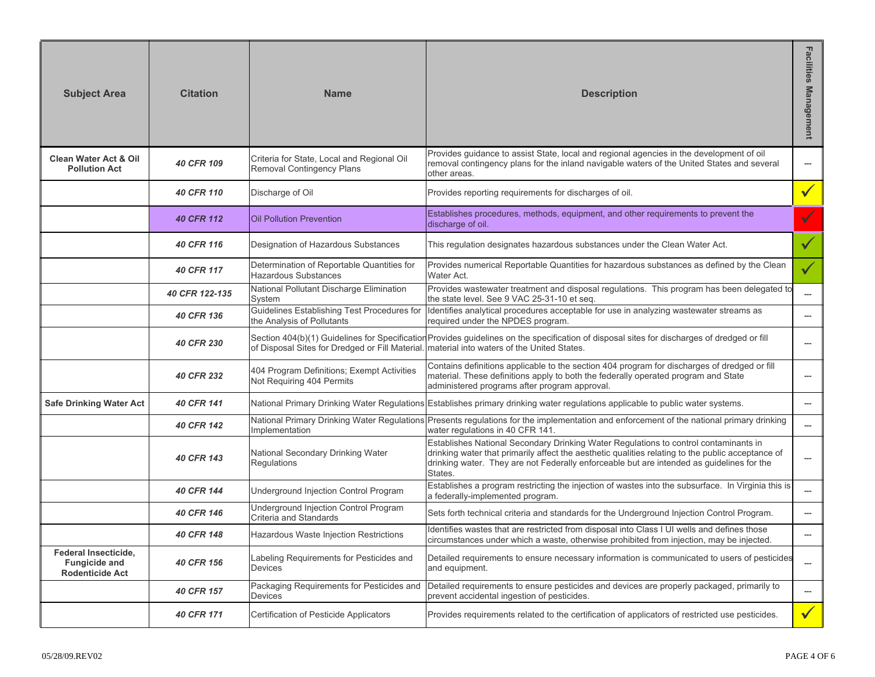| <b>Subject Area</b>                                                    | <b>Citation</b>   | <b>Name</b>                                                                    | <b>Description</b>                                                                                                                                                                                                                                                                                | <b>Facilities</b><br><b>Management</b> |
|------------------------------------------------------------------------|-------------------|--------------------------------------------------------------------------------|---------------------------------------------------------------------------------------------------------------------------------------------------------------------------------------------------------------------------------------------------------------------------------------------------|----------------------------------------|
| <b>Clean Water Act &amp; Oil</b><br><b>Pollution Act</b>               | 40 CFR 109        | Criteria for State, Local and Regional Oil<br><b>Removal Contingency Plans</b> | Provides guidance to assist State, local and regional agencies in the development of oil<br>removal contingency plans for the inland navigable waters of the United States and several<br>other areas.                                                                                            | $\cdots$                               |
|                                                                        | 40 CFR 110        | Discharge of Oil                                                               | Provides reporting requirements for discharges of oil.                                                                                                                                                                                                                                            | $\checkmark$                           |
|                                                                        | <b>40 CFR 112</b> | <b>Oil Pollution Prevention</b>                                                | Establishes procedures, methods, equipment, and other requirements to prevent the<br>discharge of oil.                                                                                                                                                                                            |                                        |
|                                                                        | 40 CFR 116        | Designation of Hazardous Substances                                            | This regulation designates hazardous substances under the Clean Water Act.                                                                                                                                                                                                                        | $\checkmark$                           |
|                                                                        | 40 CFR 117        | Determination of Reportable Quantities for<br><b>Hazardous Substances</b>      | Provides numerical Reportable Quantities for hazardous substances as defined by the Clean<br>Water Act.                                                                                                                                                                                           | $\checkmark$                           |
|                                                                        | 40 CFR 122-135    | National Pollutant Discharge Elimination<br>System                             | Provides wastewater treatment and disposal regulations. This program has been delegated to<br>the state level. See 9 VAC 25-31-10 et seq.                                                                                                                                                         | ---                                    |
|                                                                        | 40 CFR 136        | Guidelines Establishing Test Procedures for<br>the Analysis of Pollutants      | Identifies analytical procedures acceptable for use in analyzing wastewater streams as<br>required under the NPDES program.                                                                                                                                                                       | $---$                                  |
|                                                                        | <b>40 CFR 230</b> | of Disposal Sites for Dredged or Fill Material                                 | Section 404(b)(1) Guidelines for Specification Provides guidelines on the specification of disposal sites for discharges of dredged or fill<br>material into waters of the United States.                                                                                                         | ---                                    |
|                                                                        | 40 CFR 232        | 404 Program Definitions; Exempt Activities<br>Not Requiring 404 Permits        | Contains definitions applicable to the section 404 program for discharges of dredged or fill<br>material. These definitions apply to both the federally operated program and State<br>administered programs after program approval.                                                               | ---                                    |
| <b>Safe Drinking Water Act</b>                                         | 40 CFR 141        |                                                                                | National Primary Drinking Water Regulations Establishes primary drinking water regulations applicable to public water systems.                                                                                                                                                                    | ---                                    |
|                                                                        | 40 CFR 142        | National Primary Drinking Water Regulations<br>Implementation                  | Presents regulations for the implementation and enforcement of the national primary drinking<br>water regulations in 40 CFR 141.                                                                                                                                                                  | $---$                                  |
|                                                                        | 40 CFR 143        | National Secondary Drinking Water<br>Regulations                               | Establishes National Secondary Drinking Water Regulations to control contaminants in<br>drinking water that primarily affect the aesthetic qualities relating to the public acceptance of<br>drinking water. They are not Federally enforceable but are intended as guidelines for the<br>States. | ---                                    |
|                                                                        | 40 CFR 144        | Underground Injection Control Program                                          | Establishes a program restricting the injection of wastes into the subsurface. In Virginia this is<br>a federally-implemented program.                                                                                                                                                            | $-$                                    |
|                                                                        | 40 CFR 146        | Underground Injection Control Program<br>Criteria and Standards                | Sets forth technical criteria and standards for the Underground Injection Control Program.                                                                                                                                                                                                        | ---                                    |
|                                                                        | 40 CFR 148        | Hazardous Waste Injection Restrictions                                         | Identifies wastes that are restricted from disposal into Class I UI wells and defines those<br>circumstances under which a waste, otherwise prohibited from injection, may be injected.                                                                                                           |                                        |
| Federal Insecticide,<br><b>Fungicide and</b><br><b>Rodenticide Act</b> | 40 CFR 156        | Labeling Requirements for Pesticides and<br><b>Devices</b>                     | Detailed requirements to ensure necessary information is communicated to users of pesticides<br>and equipment.                                                                                                                                                                                    | $---$                                  |
|                                                                        | 40 CFR 157        | Packaging Requirements for Pesticides and<br>Devices                           | Detailed requirements to ensure pesticides and devices are properly packaged, primarily to<br>prevent accidental ingestion of pesticides.                                                                                                                                                         | ---                                    |
|                                                                        | 40 CFR 171        | Certification of Pesticide Applicators                                         | Provides requirements related to the certification of applicators of restricted use pesticides.                                                                                                                                                                                                   | $\sqrt{}$                              |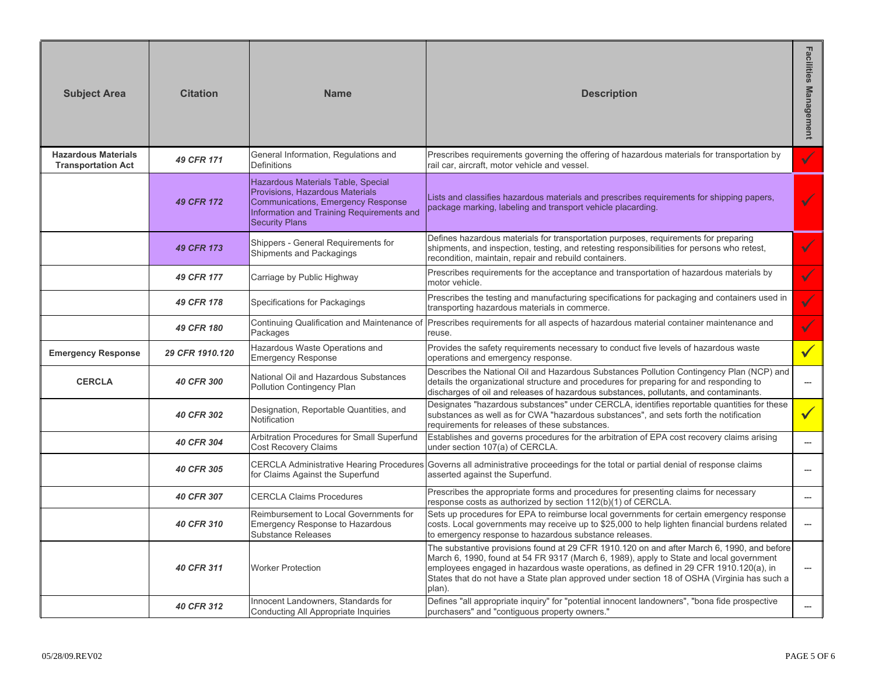| <b>Subject Area</b>                                     | <b>Citation</b>   | <b>Name</b>                                                                                                                                                                       | <b>Description</b>                                                                                                                                                                                                                                                                                                                                                                      | Facilities Management    |
|---------------------------------------------------------|-------------------|-----------------------------------------------------------------------------------------------------------------------------------------------------------------------------------|-----------------------------------------------------------------------------------------------------------------------------------------------------------------------------------------------------------------------------------------------------------------------------------------------------------------------------------------------------------------------------------------|--------------------------|
| <b>Hazardous Materials</b><br><b>Transportation Act</b> | 49 CFR 171        | General Information, Regulations and<br><b>Definitions</b>                                                                                                                        | Prescribes requirements governing the offering of hazardous materials for transportation by<br>rail car, aircraft, motor vehicle and vessel.                                                                                                                                                                                                                                            | $\checkmark$             |
|                                                         | 49 CFR 172        | Hazardous Materials Table, Special<br>Provisions, Hazardous Materials<br>Communications, Emergency Response<br>Information and Training Requirements and<br><b>Security Plans</b> | Lists and classifies hazardous materials and prescribes requirements for shipping papers,<br>package marking, labeling and transport vehicle placarding.                                                                                                                                                                                                                                |                          |
|                                                         | 49 CFR 173        | Shippers - General Requirements for<br>Shipments and Packagings                                                                                                                   | Defines hazardous materials for transportation purposes, requirements for preparing<br>shipments, and inspection, testing, and retesting responsibilities for persons who retest,<br>recondition, maintain, repair and rebuild containers.                                                                                                                                              | $\checkmark$             |
|                                                         | 49 CFR 177        | Carriage by Public Highway                                                                                                                                                        | Prescribes requirements for the acceptance and transportation of hazardous materials by<br>motor vehicle.                                                                                                                                                                                                                                                                               |                          |
|                                                         | 49 CFR 178        | Specifications for Packagings                                                                                                                                                     | Prescribes the testing and manufacturing specifications for packaging and containers used in<br>transporting hazardous materials in commerce.                                                                                                                                                                                                                                           | $\checkmark$             |
|                                                         | 49 CFR 180        | Continuing Qualification and Maintenance of<br>Packages                                                                                                                           | Prescribes requirements for all aspects of hazardous material container maintenance and<br>reuse.                                                                                                                                                                                                                                                                                       | $\checkmark$             |
| <b>Emergency Response</b>                               | 29 CFR 1910.120   | Hazardous Waste Operations and<br><b>Emergency Response</b>                                                                                                                       | Provides the safety requirements necessary to conduct five levels of hazardous waste<br>operations and emergency response.                                                                                                                                                                                                                                                              |                          |
| <b>CERCLA</b>                                           | <b>40 CFR 300</b> | National Oil and Hazardous Substances<br>Pollution Contingency Plan                                                                                                               | Describes the National Oil and Hazardous Substances Pollution Contingency Plan (NCP) and<br>details the organizational structure and procedures for preparing for and responding to<br>discharges of oil and releases of hazardous substances, pollutants, and contaminants.                                                                                                            | $\hspace{0.05cm} \ldots$ |
|                                                         | <b>40 CFR 302</b> | Designation, Reportable Quantities, and<br>Notification                                                                                                                           | Designates "hazardous substances" under CERCLA, identifies reportable quantities for these<br>substances as well as for CWA "hazardous substances", and sets forth the notification<br>requirements for releases of these substances.                                                                                                                                                   | $\checkmark$             |
|                                                         | 40 CFR 304        | Arbitration Procedures for Small Superfund<br><b>Cost Recovery Claims</b>                                                                                                         | Establishes and governs procedures for the arbitration of EPA cost recovery claims arising<br>under section 107(a) of CERCLA.                                                                                                                                                                                                                                                           | $\overline{a}$           |
|                                                         | 40 CFR 305        | <b>CERCLA Administrative Hearing Procedures</b><br>for Claims Against the Superfund                                                                                               | Governs all administrative proceedings for the total or partial denial of response claims<br>asserted against the Superfund.                                                                                                                                                                                                                                                            | $---$                    |
|                                                         | 40 CFR 307        | <b>CERCLA Claims Procedures</b>                                                                                                                                                   | Prescribes the appropriate forms and procedures for presenting claims for necessary<br>response costs as authorized by section 112(b)(1) of CERCLA.                                                                                                                                                                                                                                     | $---$                    |
|                                                         | 40 CFR 310        | Reimbursement to Local Governments for<br><b>Emergency Response to Hazardous</b><br><b>Substance Releases</b>                                                                     | Sets up procedures for EPA to reimburse local governments for certain emergency response<br>costs. Local governments may receive up to \$25,000 to help lighten financial burdens related<br>to emergency response to hazardous substance releases.                                                                                                                                     | $\ldots$                 |
|                                                         | 40 CFR 311        | <b>Worker Protection</b>                                                                                                                                                          | The substantive provisions found at 29 CFR 1910.120 on and after March 6, 1990, and before<br>March 6, 1990, found at 54 FR 9317 (March 6, 1989), apply to State and local government<br>employees engaged in hazardous waste operations, as defined in 29 CFR 1910.120(a), in<br>States that do not have a State plan approved under section 18 of OSHA (Virginia has such a<br>plan). | ---                      |
|                                                         | 40 CFR 312        | Innocent Landowners, Standards for<br>Conducting All Appropriate Inquiries                                                                                                        | Defines "all appropriate inquiry" for "potential innocent landowners", "bona fide prospective<br>purchasers" and "contiguous property owners."                                                                                                                                                                                                                                          | ---                      |